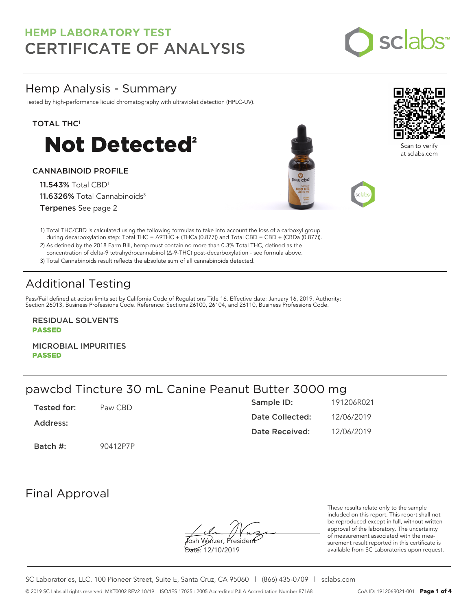

## Hemp Analysis - Summary

Tested by high-performance liquid chromatography with ultraviolet detection (HPLC-UV).

#### TOTAL THC<sup>1</sup>



#### CANNABINOID PROFILE

11.543% Total CBD<sup>1</sup> 11.6326% Total Cannabinoids<sup>3</sup> Terpenes See page 2





Scan to verify at sclabs.com

1) Total THC/CBD is calculated using the following formulas to take into account the loss of a carboxyl group during decarboxylation step: Total THC = ∆9THC + (THCa (0.877)) and Total CBD = CBD + (CBDa (0.877)).

2) As defined by the 2018 Farm Bill, hemp must contain no more than 0.3% Total THC, defined as the concentration of delta-9 tetrahydrocannabinol (Δ-9-THC) post-decarboxylation - see formula above.

3) Total Cannabinoids result reflects the absolute sum of all cannabinoids detected.

# Additional Testing

Pass/Fail defined at action limits set by California Code of Regulations Title 16. Effective date: January 16, 2019. Authority: Section 26013, Business Professions Code. Reference: Sections 26100, 26104, and 26110, Business Professions Code.

RESIDUAL SOLVENTS PASSED

MICROBIAL IMPURITIES PASSED

## pawcbd Tincture 30 mL Canine Peanut Butter 3000 mg

| Tested for: | Paw CBD  | Sample ID:            | 191206R021 |
|-------------|----------|-----------------------|------------|
| Address:    |          | Date Collected:       | 12/06/2019 |
|             |          | <b>Date Received:</b> | 12/06/2019 |
| Batch #:    | 90412P7P |                       |            |

## Final Approval

**J**osh Wurzer, Presiden<del>t</del>

Date: 12/10/2019

These results relate only to the sample included on this report. This report shall not be reproduced except in full, without written approval of the laboratory. The uncertainty of measurement associated with the measurement result reported in this certificate is available from SC Laboratories upon request.

SC Laboratories, LLC. 100 Pioneer Street, Suite E, Santa Cruz, CA 95060 | (866) 435-0709 | sclabs.com © 2019 SC Labs all rights reserved. MKT0002 REV2 10/19 ISO/IES 17025 : 2005 Accredited PJLA Accreditation Number 87168 CoA ID: 191206R021-001 **Page 1 of 4**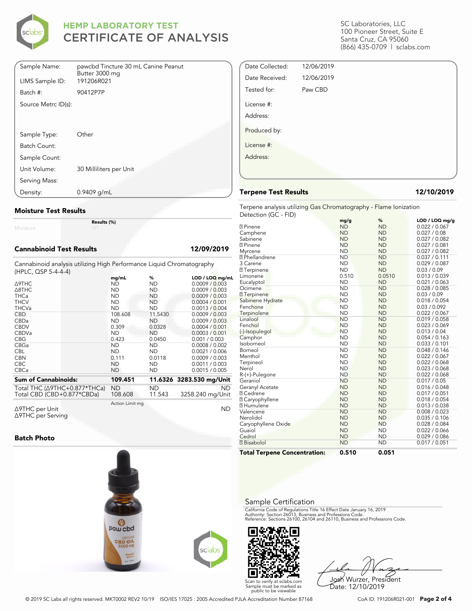

| Sample Name:        | pawcbd Tincture 30 mL Canine Peanut<br>Butter 3000 mg |
|---------------------|-------------------------------------------------------|
| LIMS Sample ID:     | 191206R021                                            |
| Batch #:            | 90412P7P                                              |
| Source Metrc ID(s): |                                                       |
|                     |                                                       |
|                     |                                                       |
| Sample Type:        | Other                                                 |
| Batch Count:        |                                                       |
| Sample Count:       |                                                       |
| Unit Volume:        | 30 Milliliters per Unit                               |
| Serving Mass:       |                                                       |
| Density:            | 0.9409 g/mL                                           |

#### **Moisture Test Results**

Moisture

#### **Cannabinoid Test Results 12/09/2019**

Cannabinoid analysis utilizing High Performance Liquid Chromatography (HPLC, QSP 5-4-4-4)

**Results (%)**

|                                          | mq/mL           | %         | LOD / LOQ mg/mL          |
|------------------------------------------|-----------------|-----------|--------------------------|
| ∆9THC                                    | ND              | ND        | 0.0009 / 0.003           |
| A8THC                                    | <b>ND</b>       | <b>ND</b> | 0.0009 / 0.003           |
| <b>THCa</b>                              | <b>ND</b>       | <b>ND</b> | 0.0009 / 0.003           |
| <b>THCV</b>                              | <b>ND</b>       | ND        | 0.0004 / 0.001           |
| <b>THCVa</b>                             | <b>ND</b>       | <b>ND</b> | 0.0013 / 0.004           |
| <b>CBD</b>                               | 108.608         | 11.5430   | 0.0009 / 0.003           |
| CBDa                                     | <b>ND</b>       | ND        | 0.0009 / 0.003           |
| <b>CBDV</b>                              | 0.309           | 0.0328    | 0.0004 / 0.001           |
| <b>CBDVa</b>                             | <b>ND</b>       | <b>ND</b> | 0.0003 / 0.001           |
| <b>CBG</b>                               | 0.423           | 0.0450    | 0.001 / 0.003            |
| <b>CBGa</b>                              | <b>ND</b>       | <b>ND</b> | 0.0008 / 0.002           |
| <b>CBL</b>                               | <b>ND</b>       | <b>ND</b> | 0.0021 / 0.006           |
| <b>CBN</b>                               | 0.111           | 0.0118    | 0.0009 / 0.003           |
| <b>CBC</b>                               | <b>ND</b>       | <b>ND</b> | 0.0011 / 0.003           |
| CBCa                                     | <b>ND</b>       | ND        | 0.0015 / 0.005           |
| <b>Sum of Cannabinoids:</b>              | 109.451         |           | 11.6326 3283.530 mg/Unit |
| Total THC ( $\triangle$ 9THC+0.877*THCa) | <b>ND</b>       | ND.       | <b>ND</b>                |
| Total CBD (CBD+0.877*CBDa)               | 108.608         | 11.543    | 3258.240 mg/Unit         |
| ∆9THC per Unit                           | Action Limit mg |           | ND                       |

Δ9THC per Unit Δ9THC per Serving

#### **Batch Photo**



SC Laboratories, LLC 100 Pioneer Street, Suite E Santa Cruz, CA 95060 (866) 435-0709 | sclabs.com

| Date Collected: | 12/06/2019 |  |
|-----------------|------------|--|
| Date Received:  | 12/06/2019 |  |
| Tested for:     | Paw CBD    |  |
| License #:      |            |  |
| Address:        |            |  |
| Produced by:    |            |  |
| License #:      |            |  |
| Address:        |            |  |
|                 |            |  |

#### **Terpene Test Results 12/10/2019**

Terpene analysis utilizing Gas Chromatography - Flame Ionization Detection (GC - FID)

|                                     | mg/g      | %         | LOD / LOQ mg/g |
|-------------------------------------|-----------|-----------|----------------|
| <b>2</b> Pinene                     | <b>ND</b> | <b>ND</b> | 0.022 / 0.067  |
| Camphene                            | <b>ND</b> | <b>ND</b> | 0.027 / 0.08   |
| Sabinene                            | <b>ND</b> | <b>ND</b> | 0.027 / 0.082  |
| <b>77 Pinene</b>                    | <b>ND</b> | <b>ND</b> | 0.027 / 0.081  |
| Myrcene                             | <b>ND</b> | <b>ND</b> | 0.027 / 0.082  |
| <sup>2</sup> Phellandrene           | <b>ND</b> | <b>ND</b> | 0.037 / 0.111  |
| 3 Carene                            | <b>ND</b> | <b>ND</b> | 0.029 / 0.087  |
| <b>7</b> Terpinene                  | <b>ND</b> | <b>ND</b> | 0.03 / 0.09    |
| Limonene                            | 0.510     | 0.0510    | 0.013 / 0.039  |
| Eucalyptol                          | <b>ND</b> | <b>ND</b> | 0.021 / 0.063  |
| Ocimene                             | <b>ND</b> | <b>ND</b> | 0.028 / 0.085  |
| <b>7</b> Terpinene                  | <b>ND</b> | <b>ND</b> | 0.03 / 0.09    |
| Sabinene Hydrate                    | <b>ND</b> | <b>ND</b> | 0.018 / 0.054  |
| Fenchone                            | <b>ND</b> | <b>ND</b> | 0.03 / 0.092   |
| Terpinolene                         | <b>ND</b> | <b>ND</b> | 0.022 / 0.067  |
| Linalool                            | <b>ND</b> | <b>ND</b> | 0.019 / 0.058  |
| Fenchol                             | <b>ND</b> | <b>ND</b> | 0.023 / 0.069  |
| (-)-Isopulegol                      | <b>ND</b> | <b>ND</b> | 0.013 / 0.04   |
| Camphor                             | <b>ND</b> | <b>ND</b> | 0.054 / 0.163  |
| Isoborneol                          | <b>ND</b> | <b>ND</b> | 0.033 / 0.101  |
| Borneol                             | <b>ND</b> | <b>ND</b> | 0.048 / 0.146  |
| Menthol                             | <b>ND</b> | <b>ND</b> | 0.022 / 0.067  |
| Terpineol                           | <b>ND</b> | <b>ND</b> | 0.022 / 0.068  |
| Nerol                               | <b>ND</b> | <b>ND</b> | 0.023 / 0.068  |
| R-(+)-Pulegone                      | <b>ND</b> | <b>ND</b> | 0.022 / 0.068  |
| Geraniol                            | <b>ND</b> | <b>ND</b> | 0.017 / 0.05   |
| Geranyl Acetate                     | <b>ND</b> | <b>ND</b> | 0.016 / 0.048  |
| <b>7 Cedrene</b>                    | <b>ND</b> | <b>ND</b> | 0.017 / 0.051  |
| ⊠ Caryophyllene                     | <b>ND</b> | <b>ND</b> | 0.018 / 0.054  |
| <b>7 Humulene</b>                   | <b>ND</b> | <b>ND</b> | 0.013 / 0.038  |
| Valencene                           | <b>ND</b> | <b>ND</b> | 0.008 / 0.023  |
| Nerolidol                           | <b>ND</b> | <b>ND</b> | 0.035 / 0.106  |
| Caryophyllene Oxide                 | <b>ND</b> | <b>ND</b> | 0.028 / 0.084  |
| Guaiol                              | <b>ND</b> | <b>ND</b> | 0.022 / 0.066  |
| Cedrol                              | <b>ND</b> | <b>ND</b> | 0.029 / 0.086  |
| <b>7</b> Bisabolol                  | <b>ND</b> | <b>ND</b> | 0.017 / 0.051  |
| <b>Total Terpene Concentration:</b> | 0.510     | 0.051     |                |

#### Sample Certification

California Code of Regulations Title 16 Effect Date January 16, 2019<br>Authority: Section 26013, Business and Professions Code.<br>Reference: Sections 26100, 26104 and 26110, Business and Professions Code.



Josh Wurzer, President Date: 12/10/2019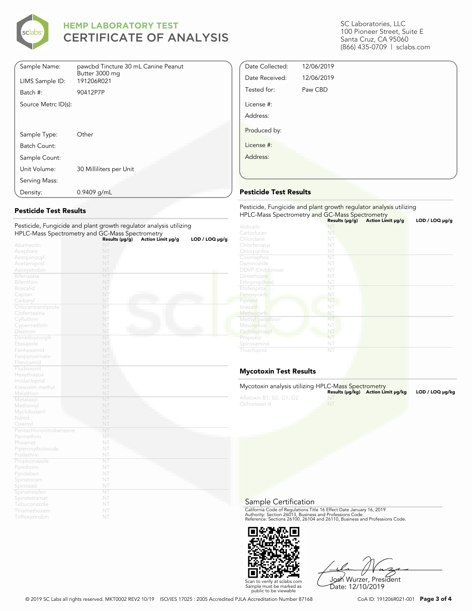

| Sample Name:        | pawcbd Tincture 30 mL Canine Peanut<br>Butter 3000 mg |
|---------------------|-------------------------------------------------------|
| LIMS Sample ID:     | 191206R021                                            |
| Batch #:            | 90412P7P                                              |
| Source Metrc ID(s): |                                                       |
|                     |                                                       |
|                     |                                                       |
| Sample Type:        | Other                                                 |
| Batch Count:        |                                                       |
| Sample Count:       |                                                       |
| Unit Volume:        | 30 Milliliters per Unit                               |
| Serving Mass:       |                                                       |
| Density:            | 0.9409 g/mL                                           |

#### **Pesticide Test Results**

| Pesticide, Fungicide and plant growth regulator analysis utilizing |                |                   |                     |
|--------------------------------------------------------------------|----------------|-------------------|---------------------|
| HPLC-Mass Spectrometry and GC-Mass Spectrometry                    |                |                   |                     |
|                                                                    | Results (µg/g) | Action Limit µg/g | $LOD / LOQ \mu g/g$ |
| Abamectin                                                          | NT             |                   |                     |
| Acephate                                                           | NT             |                   |                     |
| Acequinocyl                                                        | NT             |                   |                     |
| Acetamiprid                                                        | NT             |                   |                     |
| Azoxystrobin                                                       | NT             |                   |                     |
| <b>Bifenazate</b>                                                  | NT             |                   |                     |
| <b>Bifenthrin</b>                                                  | NT             |                   |                     |
| <b>Boscalid</b>                                                    | NT             |                   |                     |
| Captan                                                             | NT             |                   |                     |
| Carbaryl                                                           | NT             |                   |                     |
| Chlorantraniliprole                                                | NT             |                   |                     |
| Clofentezine                                                       | NT             |                   |                     |
| Cyfluthrin                                                         | NT             |                   |                     |
| Cypermethrin                                                       | NT             |                   |                     |
| Diazinon                                                           | NT             |                   |                     |
| Dimethomorph                                                       | NT             |                   |                     |
| Etoxazole                                                          | NT             |                   |                     |
| Fenhexamid                                                         | NT             |                   |                     |
| Fenpyroximate                                                      | NT             |                   |                     |
| Flonicamid                                                         | NT             |                   |                     |
| Fludioxonil                                                        | NT             |                   |                     |
| Hexythiazox                                                        | NT             |                   |                     |
| Imidacloprid                                                       | NT             |                   |                     |
| Kresoxim-methyl                                                    | NT             |                   |                     |
| Malathion                                                          | NT             |                   |                     |
| Metalaxyl                                                          | NT             |                   |                     |
| Methomyl                                                           | NT             |                   |                     |
| Myclobutanil                                                       | NT             |                   |                     |
| Naled                                                              | NT             |                   |                     |
| Oxamyl                                                             | NT             |                   |                     |
| Pentachloronitrobenzene                                            | N <sub>1</sub> |                   |                     |
| Permethrin                                                         | NT             |                   |                     |
| Phosmet                                                            | NT             |                   |                     |
| Piperonylbutoxide                                                  | NT             |                   |                     |
| Prallethrin                                                        | NT             |                   |                     |
| Propiconazole                                                      | NT             |                   |                     |
| Pyrethrins                                                         | NT             |                   |                     |
| Pyridaben                                                          | NT             |                   |                     |
| Spinetoram                                                         | NT             |                   |                     |
| Spinosad                                                           | NT             |                   |                     |
| Spiromesiten                                                       | NT             |                   |                     |
| Spirotetramat                                                      | NT             |                   |                     |
| Tebuconazole                                                       | NT             |                   |                     |
| Thiamethoxam                                                       | NT             |                   |                     |
| Trifloxystrobin                                                    | NT             |                   |                     |

SC Laboratories, LLC 100 Pioneer Street, Suite E Santa Cruz, CA 95060 (866) 435-0709 | sclabs.com

| Date Collected: | 12/06/2019 |  |
|-----------------|------------|--|
| Date Received:  | 12/06/2019 |  |
| Tested for:     | Paw CBD    |  |
| License #:      |            |  |
| Address:        |            |  |
| Produced by:    |            |  |
| License #:      |            |  |
| Address:        |            |  |
|                 |            |  |

#### **Pesticide Test Results**

| Pesticide, Fungicide and plant growth regulator analysis utilizing<br>HPLC-Mass Spectrometry and GC-Mass Spectrometry |                     |                   |                     |  |  |
|-----------------------------------------------------------------------------------------------------------------------|---------------------|-------------------|---------------------|--|--|
|                                                                                                                       | Results $(\mu g/g)$ | Action Limit µg/g | LOD / LOQ $\mu$ g/g |  |  |
| Aldicarb                                                                                                              |                     |                   |                     |  |  |
| Carbofuran                                                                                                            | NT                  |                   |                     |  |  |
| Chlordane                                                                                                             | NT                  |                   |                     |  |  |
| Chlorfenapyr                                                                                                          | NT                  |                   |                     |  |  |
| Chlorpyrifos                                                                                                          | NT                  |                   |                     |  |  |
| Coumaphos                                                                                                             | NT                  |                   |                     |  |  |
| Daminozide                                                                                                            | NT                  |                   |                     |  |  |
| <b>DDVP</b> (Dichlorvos)                                                                                              | NT                  |                   |                     |  |  |
| Dimethoate                                                                                                            | NT                  |                   |                     |  |  |
| Ethoprop(hos)                                                                                                         | NT                  |                   |                     |  |  |
| Etofenprox                                                                                                            | NT                  |                   |                     |  |  |
| Fenoxycarb                                                                                                            | NT                  |                   |                     |  |  |
| Fipronil                                                                                                              | NT                  |                   |                     |  |  |
| Imazalil                                                                                                              | NT                  |                   |                     |  |  |
| Methiocarb                                                                                                            | NT                  |                   |                     |  |  |
| Methyl parathion                                                                                                      | NT                  |                   |                     |  |  |
| Mevinphos                                                                                                             | NT                  |                   |                     |  |  |
| Paclobutrazol                                                                                                         | NT                  |                   |                     |  |  |
| Propoxur                                                                                                              | NT                  |                   |                     |  |  |
| Spiroxamine                                                                                                           | NT                  |                   |                     |  |  |
| Thiacloprid                                                                                                           | NT                  |                   |                     |  |  |

### **Mycotoxin Test Results**

| Mycotoxin analysis utilizing HPLC-Mass Spectrometry |    | Results (µq/kq) Action Limit µq/kq | LOD / LOQ µq/kq |
|-----------------------------------------------------|----|------------------------------------|-----------------|
| Aflatoxin B1, B2, G1, G2<br>Ochratoxin A            | NT |                                    |                 |

#### Sample Certification

California Code of Regulations Title 16 Effect Date January 16, 2019<br>Authority: Section 26013, Business and Professions Code.<br>Reference: Sections 26100, 26104 and 26110, Business and Professions Code.



Josh Wurzer, President

Scan to verify at sclabs.com Sample must be marked as public to be viewable Date: 12/10/2019